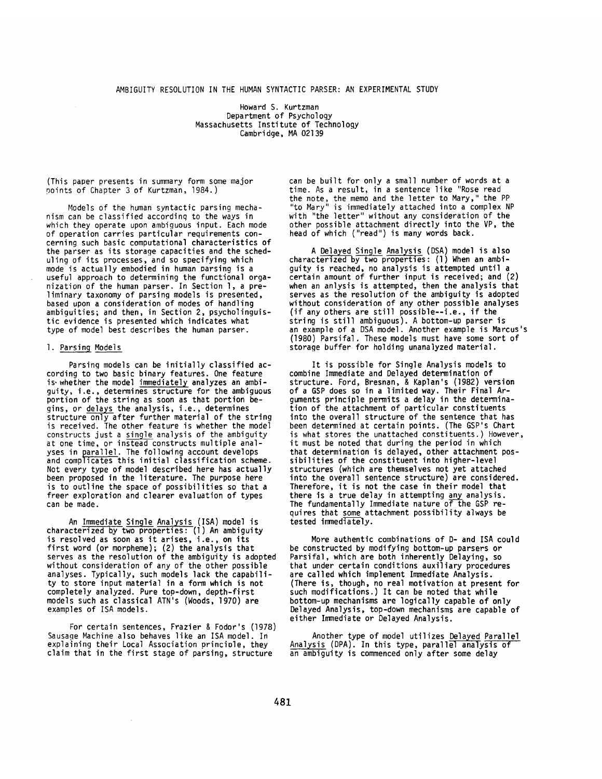## AMBIGUITY RESOLUTION IN THE HUMAN SYNTACTIC PARSER: AN EXPERIMENTAL STUDY

Howard S. Kurtzman Department of Psychology Massachusetts Institute of Technology Cambridge, MA 02139

(This paper presents in summary form some major points of Chapter 3 of Kurtzman, 1984.)

Models of the human syntactic parsing mechanism can be classified according to the ways in which they operate upon ambiguous input. Each mode of operation carries particular requirements concerning such basic computational characteristics of the parser as its storage capacities and the scheduling of its processes, and so specifying which mode is actually embodied in human parsing is a useful approach to determining the functional organization of the human parser. In Section l, a preliminary taxonomy of parsing models is presented, based upon a consideration of modes of handling ambiguities; and then, in Section 2, psycholinguistic evidence is presented which indicates what type of model best describes the human parser.

## I. Parsing Models

Parsing models can be initially classified according to two basic binary features. One feature is. whether the model immediately analyzes an ambiguity, i.e., determines structure for the ambiguous portion of the string as soon as that portion begins, or delays the analysis, i.e., determines structure only after further material of the string is received. The other feature is whether the model constructs just a single analysis of the ambiguity at one time, or instead constructs multiple analyses in parallel. The following account develops and complicates this initial classification scheme. Not every type of model described here has actually been proposed in the literature. The purpose here is to outline the space of possibilities so that a freer exploration and clearer evaluation of types can be made.

An Immediate Single Analysis (ISA) model is characterized by two properties: (1) An ambiguity is resolved as soon as it arises, i.e., on its first word (or morpheme); (2) the analysis that serves as the resolution of the ambiguity is adopted without consideration of any of the other possible analyses. Typically, such models lack the capability to store input material in a form which is not completely analyzed. Pure top-down, depth-first models such as classical ATN's (Woods, 1970) are examples of ISA models.

For certain sentences, Frazier & Fodor's (1978) Sausage Machine also behaves like an ISA model. In explaining their Local Association principle, they claim that in the first stage of parsing, structure

can be built for only a small number of words at a time. As a result, in a sentence like "Rose read the note, the memo and the letter to Mary," the PP "to Mary" is immediately attached into a complex NP with "the letter" without any consideration of the other possible attachment directly into the VP, the head of which ("read") is many words back.

A Delayed Single Analysis (DSA) model is also characterized by two properties: (1) When an ambiguity is reached, no analysis is attempted until a certain amount of further input is received; and (2) when an anlysis is attempted, then the analysis that serves as the resolution of the ambiguity is adopted without consideration of any other possible analyses (if any others are still possible--i.e., if the string is still ambiguous). A bottom-up parser is an example of a DSA model. Another example is Marcus's (1980) Parsifal. These models must have some sort of storage buffer for holding unanalyzed material.

It is possible for Single Analysis models to combine Immediate and Delayed determination of structure. Ford, Bresnan, & Kaplan's (1982) version of a GSP does so in a limited way. Their Final Arguments principle permits a delay in the determination of the attachment of particular constituents into the overall structure of the sentence that has been determined at certain points. (The GSP's Chart is what stores the unattached constituents.) However, it must be noted that during the period in which that determination is delayed, other attachment possibilities of the constituent into higher-level structures (which are themselves not yet attached into the overall sentence structure) are considered. Therefore, it is not the case in their model that there is a true delay in attempting any analysis. The fundamentally Immediate nature of the GSP requires that some attachment possibility always be tested immediately.

More authentic combinations of D- and ISA could be constructed by modifying bottom-up parsers or Parsifal, which are both inherently Delaying, so that under certain conditions auxiliary procedures are called which implement Immediate Analysis. (There is, though, no real motivation at present for such modifications.) It can be noted that while bottom-up mechanisms are logically capable of only Delayed Analysis, top-down mechanisms are capable of either Immediate or Delayed Analysis.

Another type of model utilizes Delayed Parallel Analysis (DPA). In this type, parallel analysis of an ambiguity is commenced only after some delay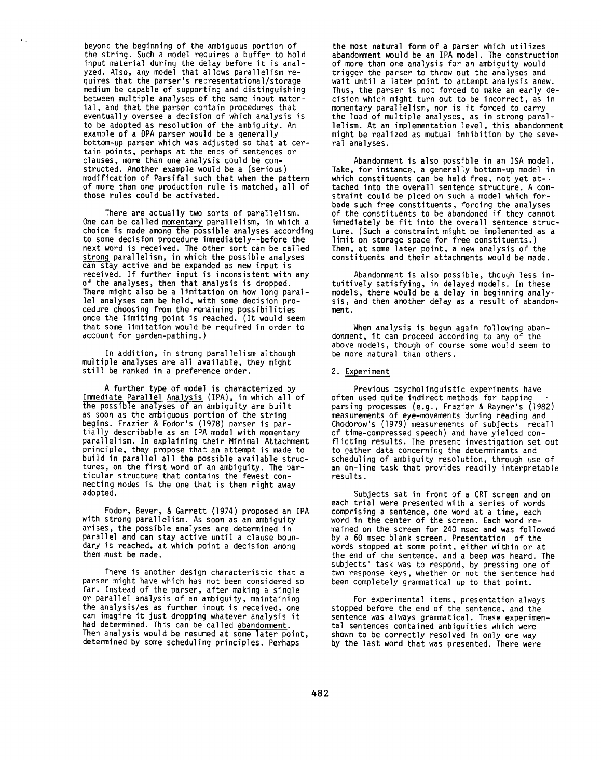beyond the beginning of the ambiguous portion of the string. Such a model requires a buffer to hold input material during the delay before it is analyzed. Also, any model that allows parallelism requires that the parser's representational/storage medium be capable of supporting and distinguishing between multiple analyses of the same input material, and that the parser contain procedures that eventually oversee a decision of which analysis is to be adopted as resolution of the ambiguity. An example of a DPA parser would be a generally bottom-up parser which was adjusted so that at certain points, perhaps at the ends of sentences or clauses, more than one analysis could be constructed. Another example would be a (serious) modification of Parsifal such that when the pattern of more than one production rule is matched, all of those rules could be activated.

 $\ddot{\phantom{a}}$ 

There are actually two sorts of parallelism. One can be called momentary parallelism, in which a choice is made among the possible analyses according to some decision procedure immediately--before the next word is received. The other sort can be called strong parallelism, in which the possible analyses can stay active and be expanded as new input is received. If further input is inconsistent with any of the analyses, then that analysis is dropped. There might also be a limitation on how long parallel analyses can be held, with some decision procedure choosing from the remaining possibilities once the limiting point is reached. (It would seem that some limitation would be required in order to account for garden-pathing.)

In addition, in strong parallelism although multiple analyses are all available, they might still be ranked in a preference order.

A further type of model is characterized by Immediate Parallel Analysis (IPA), in which all of the possible analyses of an ambiguity are built as soon as the ambiguous portion of the string begins. Frazier & Fodor's (1978) parser is partially describable as an IPA model with momentary parallelism. In explaining their Minimal Attachment principle, they propose that an attempt is made to build in parallel all the possible available structures, on the first word of an ambiguity. The particular structure that contains the fewest connecting nodes is the one that is then right away adopted.

Fodor, Bever, & Garrett (1974) proposed an IPA with strong parallelism. As soon as an ambiguity arises, the possible analyses are determined in parallel and can stay active until a clause boundary is reached, at which point a decision among them must be made.

There is another design characteristic that a parser might have which has not been considered so far. Instead of the parser, after making a single or parallel analysis of an ambiguity, maintaining the analysis/es as further input is received, one can imagine it just dropping whatever analysis it had determined. This can be called abandonment. Then analysis would be resumed at some later point, determined by some scheduling principles. Perhaps

the most natural form of a parser which utilizes abandonment would be an IPA model. The construction of more than one analysis for an ambiguity would trigger the parser to throw out the analyses and wait until a later point to attempt analysis anew. Thus, the parser is not forced to make an early decision which might turn out to be incorrect, as in momentary parallelism, nor is it forced to carry the load of multiple analyses, as in strong parallelism. At an implementation level, this abandonment might be realized as mutual inhibition by the several analyses.

Abandonment is also possible in an ISA model. Take, for instance, a generally bottom-up model in which constituents can be held free, not yet attached into the overall sentence structure. A constraint could be plced on such a model which forbade such free constituents, forcing the analyses of the constituents to be abandoned if they cannot immediately be fit into the overall sentence structure. (Such a constraint might be implemented as a limit on storage space for free constituents.) Then, at some later point, a new analysis of the constituents and their attachments would be made.

Abandonment is also possible, though less intuitively satisfying, in delayed models. In these models, there would be a delay in beginning analysis, and then another delay as a result of abandonment.

When analysis is begun again following abandonment, it can proceed according to any of the above models, though of course some would seem to be more natural than others.

## 2. Experiment

Previous psycholinguistic experiments have often used quite indirect methods for tapping parsing processes (e.g., Frazier & Rayner's (1982) measurements of eye-movements during reading and Chodorow's (1979) measurements of subjects' recall of time-compressed speech) and have yielded conflicting results. The present investigation set out to gather data concerning the determinants and scheduling of ambiguity resolution, through use of an on-line task that provides readily interpretable results.

Subjects sat in front of a CRT screen and on each trial were presented with a series of words comprising a sentence, one word at a time, each word in the center of the screen. Each word remained on the screen for 240 msec and was followed by a 60 msec blank screen. Presentation of the words stopped at some point, either within or at the end of the sentence, and a beep was heard. The subjects' task was to respond, by pressing one of two response keys, whether or not the sentence had been completely grammatical up to that point.

For experimental items, presentation always stopped before the end of the sentence, and the sentence was always grammatical. These experimental sentences contained ambiguities which were shown to be correctly resolved in only one way by the last word that was presented. There were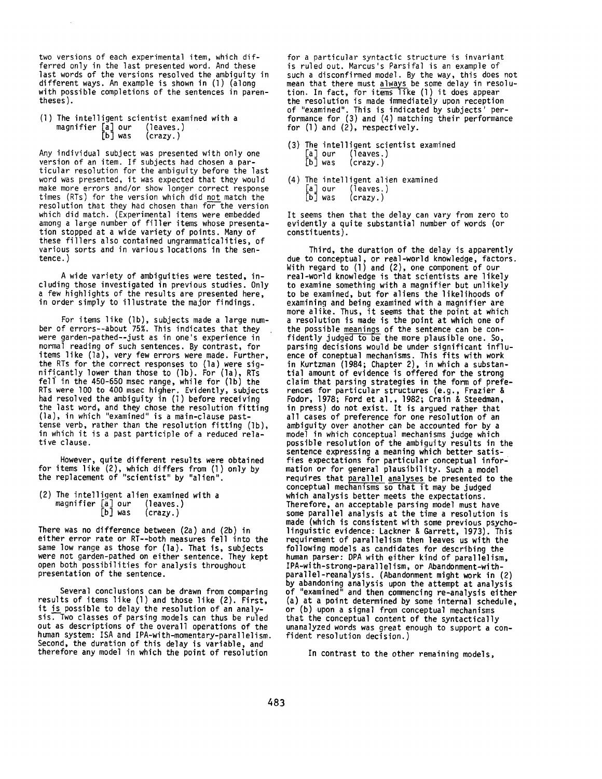two versions of each experimental item, which differred only in the last presented word. And these last words of the versions resolved the ambiguity in different ways. An example is shown in (1) (along with possible completions of the sentences in parentheses).

(1) The intelligent scientist examined with a magnifier  $[a]$  our (leaves.) magnifier  $\begin{bmatrix} a \\ b \end{bmatrix}$  our  $(crazy.)$ 

Any individual subject was presented with only one version of an item. If subjects had chosen a particular resolution for the ambiguity before the last word was presented, it was expected that they would make more errors and/or show longer correct response times (RTs) for the version which did not match the resolution that they had chosen than for the version which did match. (Experimental items were embedded among a large number of filler items whose presentation stopped at a wide variety of points. Many of these fillers also contained ungrammaticalities, of various sorts and in various locations in the sentence.)

A wide variety of ambiguities were tested, including those investigated in previous studies. Only a few highlights of the results are presented here, in order simply to illustrate the major findings.

For items like (Ib), subjects made a large number of errors--about 75%. This indicates that they were garden-pathed--just as in one's experience in normal reading of such sentences. By contrast, for items like (la), very few errors were made. Further, the RTs for the correct responses to (la) were significantly lower than those to (Ib). For (la), RTs fell in the 450-650 msec range, while for  $(lb)$  the RTs were lO0 to 400 msec higher. Evidently, subjects had resolved the ambiguity in (1) before receiving the last word, and they chose the resolution fitting (la), in which "examined" is a main-clause pasttense verb, rather than the resolution fitting (Ib), in which it is a past participle of a reduced relative clause.

However, quite different results were obtained for items like (2), which differs from (1) only by the replacement of "scientist" by "alien".

(2) The intelligent alien examined with a magnifier  $\begin{bmatrix} a \\ c \end{bmatrix}$  our<br> $\begin{bmatrix} b \end{bmatrix}$  was  $(crazy.)$ 

There was no difference between (2a) and (2b) in either error rate or RT--both measures fell into the same low range as those for (la). That is, subjects were not garden-pathed on either sentence. They kept open both possibilities for analysis throughout presentation of the sentence.

Several conclusions can be drawn from comparing results of items like (1) and those like (2). First, it is possible to delay the resolution of an analysis. Two classes of parsing models can thus be ruled out as descriptions of the overall operations of the human system: ISA and IPA-with-momentary-parallelism. Second, the duration of this delay is variable, and therefore any model in which the point of resolution

for a particular syntactic structure is invariant is ruled out. Marcus's Parsifal is an example of such a disconfirmed model. By the way, this does not mean that there must <u>always</u> be some delay in resolution. In fact, for items like (1) it does appear the resolution is made immediately upon reception of "examined". This is indicated by subjects' performance for (3) and (4) matching their performance for (1) and (2), respectively.

- (3) The intelligent scientist examined [a] our (leaves.)<br>[b] was (crazy.)  $(c$ razy.)
- (4) The intelligent alien examined<br>  $\begin{bmatrix} a \end{bmatrix}$  our (leaves.)<br>  $\begin{bmatrix} b \end{bmatrix}$  was (crazy.)  $($ leaves. $)$  $(c\text{razy.})$

It seems then that the delay can vary from zero to evidently a quite substantial number of words (or constituents).

Third, the duration of the delay is apparently due to conceptual, or real-world knowledge, factors. With regard to (1) and (2), one component of our real-world knowledge is that scientists are likely to examine something with a magnifier but unlikely to be examined, but for aliens the likelihoods of examining and being examined with a magnifier are more alike. Thus, it seems that the point at which a resolution is made is the point at which one of the possible meanings of the sentence can be confidently judged to be the more plausible one. So, parsing decisions would be under significant influence of coneptual mechanisms. This fits with work in Kurtzman (1984; Chapter 2), in which a substantial amount of evidence is offered for the strong claim that parsing strategies in the form of preferences for particular structures (e.g., Frazier & Fodor, 1978; Ford et al., 1982; Crain & Steedman, in press) do not exist. It is argued rather that all cases of preference for one resolution of an ambiguity over another can be accounted for by a model in which conceptual mechanisms judge which possible resolution of the ambiguity results in the sentence expressing a meaning which better satisfies expectations for particular conceptual information or for general plausibility. Such a model requires that parallel analyses be presented to the conceptual mechanisms so that it may be judged which analysis better meets the expectations. Therefore, an acceptable parsing model must have some parallel analysis at the time a resolution is made (which is consistent with some previous psycholinguistic evidence: Lackner & Garrett, 1973). This requirement of parallelism then leaves us with the following models as candidates for describing the human parser: DPA with either kind of parallelism, IPA-with-strong-parallelism, or Abandonment-withparallel-reanalysis. (Abandonment might work in (2) by abandoning analysis upon the attempt at analysis "examined" and then commencing re-analysis either (a) at a point determined by some internal schedule, or (b) upon a signal from conceptual mechanisms that the conceptual content of the syntactically unanalyzed words was great enough to support a confident resolution decision.)

In contrast to the other remaining models,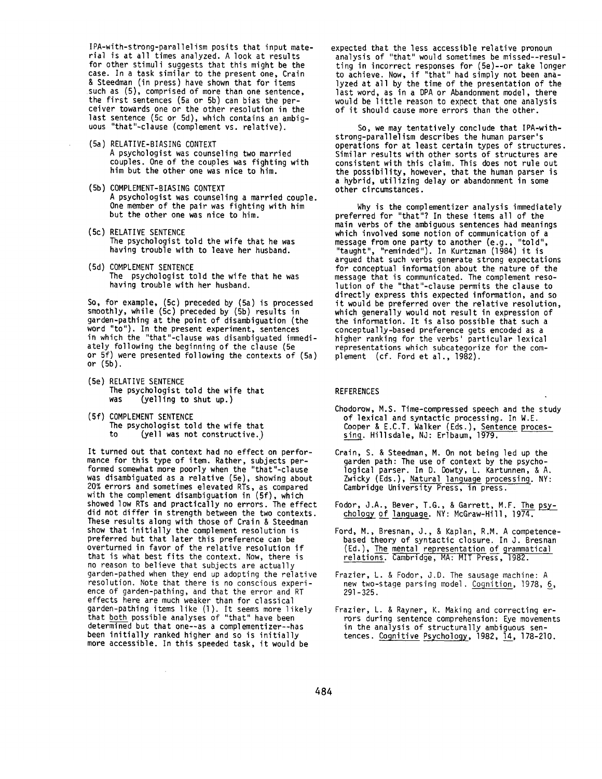IPA-with-strong-parallelism posits that input material is at all times analyzed. A look at results for other stimuli suggests that this might be the case. In a task similar to the present one, Crain & Steedman (in press) have shown that for items such as (5), comprised of more than one sentence, the first sentences (5a or 5b) can bias the perceiver towards one or the other resolution in the last sentence (5c or 5d), which contains an ambiguous "that"-clause (complement vs. relative).

- (5a) RELATIVE-BIASING CONTEXT A psychologist was counseling two married couples. One of the couples was fighting with him but the other one was nice to him.
- (5b) COMPLEMENT-BIASING CONTEXT A psychologist was counseling a married couple. One member of the pair was fighting with him but the other one was nice to him.
- **(5c)** RELATIVE SENTENCE The psychologist told the wife that he was having trouble with to leave her husband.
- (5d) COMPLEMENT SENTENCE The psychologist told the wife that he was having trouble with her husband.

So, for example, (5c) preceded by (Sa) is processed smoothly, while (5c) preceded by (Sb) results in garden-pathing at the point of disambiguation (the word "to"). In the present experiment, sentences in which the "that"-clause was disambiguated immediately following the beginning of the clause (5e or 5f) were presented following the contexts of (5a) or **(5b).** 

- (Se) RELATIVE SENTENCE The psychologist told the wife that<br>was (velling to shut up.)  $(y$ elling to shut up.)
- (Sf) COMPLEMENT SENTENCE The psychologist told the wife that to (yell was not constructive..)

 $\alpha$ 

It turned out that context had no effect on performance for this type of item. Rather, subjects performed somewhat more poorly when the "that"-clause was disambiguated as a relative (5e), showing about 20% errors and sometimes elevated RTs, as compared with the complement disambiguation in (5f), which showed low RTs and practically no errors. The effect did not differ in strength between the two contexts. These results along with those of Crain & Steedman show that initially the complement resolution is preferred but that later this preference can be overturned in favor of the relative resolution if that is what best fits the context. Now, there is no reason to believe that subjects are actually garden-pathed when they end up adopting the relative resolution. Note that there is no conscious experience of garden-pathing, and that the error and RT effects here are much weaker than for classical garden-pathing items like (1). It seems more likely that both possible analyses of "that" have been determined but that one--as a complementizer--has been initially ranked higher and so is initially more accessible. In this speeded task, it would be

expected that the less accessible relative pronoun analysis of "that" would sometimes be missed--resulting in incorrect responses for (5e)--or take longer to achieve. Now, if "that" had simply not been analyzed at all by the time of the presentation of the last word, as in a DPA or Abandonment model, there would be little reason to expect that one analysis of it should cause more errors than the other.

So, we may tentatively conclude that IPA-withstrong-parallelism describes the human parser's operations for at least certain types of structures. Similar results with other sorts of structures are consistent with this claim. This does not rule out the possibility, however, that the human parser is a hybrid, utilizing delay or abandonment in some other circumstances.

Why is the complementizer analysis immediately preferred for "that"? In these items all of the main verbs of the ambiguous sentences had meanings which involved some notion of communication of a message from one party to another (e.g., "told", "taught", "reminded"). In Kurtzman (1984) it is argued that such verbs generate strong expectations for conceptual information about the nature of the message that is communicated. The complement resolution of the "that"-clause permits the clause to directly express this expected information, and so it would be preferred over the relative resolution, which generally would not result in expression of the information. It is also possible that such a conceptually-based preference gets encoded as a higher ranking for the verbs' particular lexical representations which subcategorize for the complement (cf. Ford et al., 1982).

## **REFERENCES**

- Chodorow, M.S. Time-compressed speech and the study of lexical and syntactic processing. In W.E. Cooper & E.C.T. Walker (Eds.), Sentence processing. Hillsdale, NJ: Erlbaum, 197
- Crain, S. & Steedman, M. On not being led up the garden path: The use of context by the psychological parser. In D. Dowty, L. Kartunnen, & A. Zwicky (Eds.), Natural language processing. NY: Cambridge University Press, in press.
- Fodor, J.A., Bever, T.G., & Garrett, M.F. The psychology of language. NY: McGraw-Hill, 1974.
- Ford, M., Bresnan, J., & Kaplan, R.M. A competencebased theory of syntactic closure. In J. Bresnan (Ed.), The mental representation of grammatical relations. Cambridge, MA: MIT Press, 1982.
- Frazier, L. & Fodor, J.D. The sausage machine: A new two-stage parsing model. Cognition, 1978, 6, 291-325.
- Frazier, L. & Rayner, K. Making and correcting errors during sentence comprehension: Eye movements in the analysis of structurally ambiguous sentences. Cognitive Psychology, 1982, 14, 178-210.